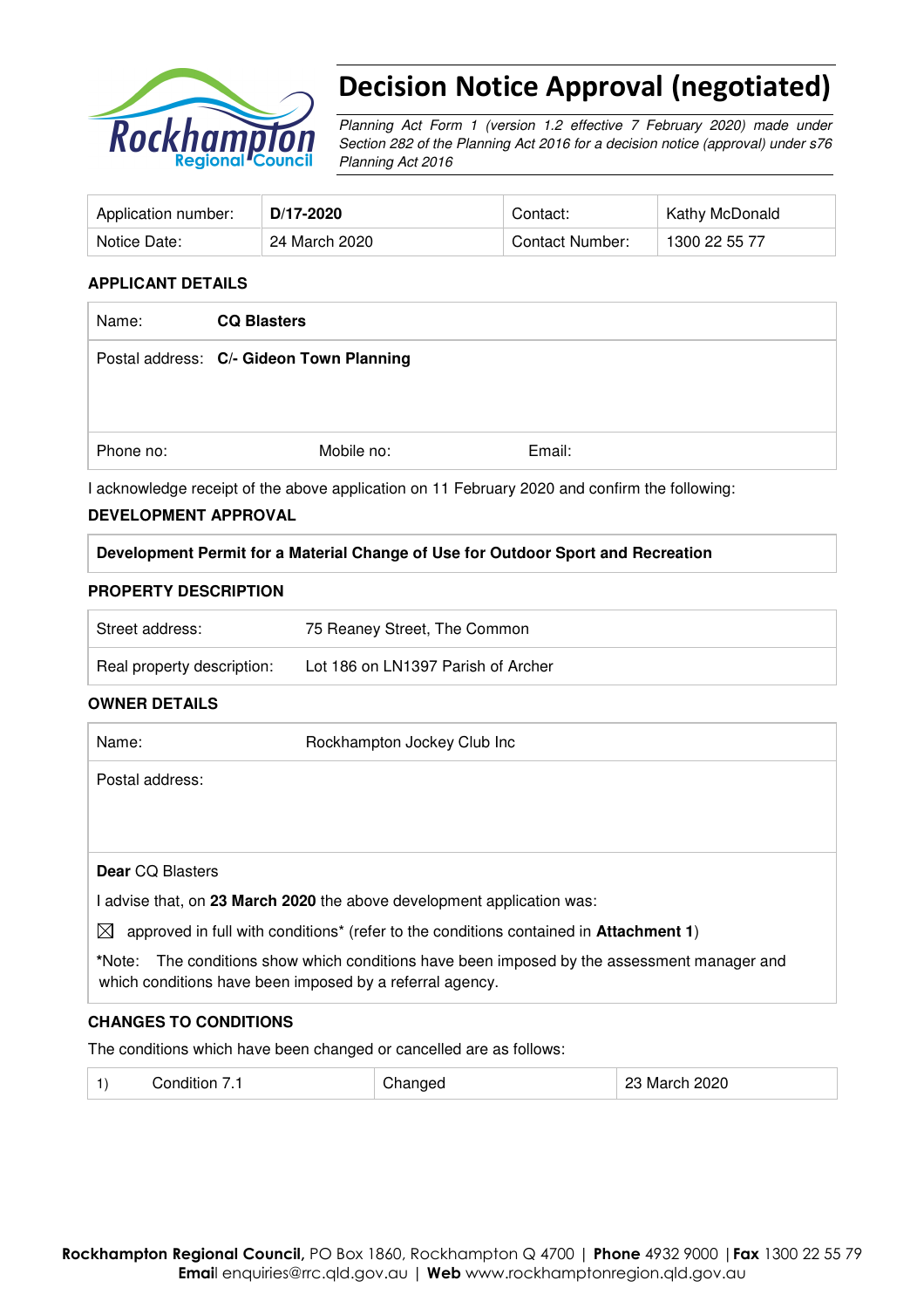

# Decision Notice Approval (negotiated)

Planning Act Form 1 (version 1.2 effective 7 February 2020) made under Section 282 of the Planning Act 2016 for a decision notice (approval) under s76 Planning Act 2016

| Application number: | D/17-2020     | Contact:        | Kathy McDonald |
|---------------------|---------------|-----------------|----------------|
| Notice Date:        | 24 March 2020 | Contact Number: | 1300 22 55 77  |

#### **APPLICANT DETAILS**

| <b>CQ Blasters</b> |                                          |
|--------------------|------------------------------------------|
|                    |                                          |
|                    |                                          |
|                    |                                          |
| Mobile no:         | Email:                                   |
|                    | Postal address: C/- Gideon Town Planning |

I acknowledge receipt of the above application on 11 February 2020 and confirm the following:

#### **DEVELOPMENT APPROVAL**

## **Development Permit for a Material Change of Use for Outdoor Sport and Recreation**

#### **PROPERTY DESCRIPTION**

| Street address:            | 75 Reaney Street, The Common       |
|----------------------------|------------------------------------|
| Real property description: | Lot 186 on LN1397 Parish of Archer |

#### **OWNER DETAILS**

| Name:                   | Rockhampton Jockey Club Inc                                                                                                                             |
|-------------------------|---------------------------------------------------------------------------------------------------------------------------------------------------------|
| Postal address:         |                                                                                                                                                         |
|                         |                                                                                                                                                         |
|                         |                                                                                                                                                         |
| <b>Dear CO Blasters</b> |                                                                                                                                                         |
|                         | l advise that, on 23 March 2020 the above development application was:                                                                                  |
| $\boxtimes$             | approved in full with conditions <sup>*</sup> (refer to the conditions contained in <b>Attachment 1</b> )                                               |
|                         | *Note: The conditions show which conditions have been imposed by the assessment manager and<br>which conditions have been imposed by a referral agency. |

#### **CHANGES TO CONDITIONS**

The conditions which have been changed or cancelled are as follows:

|  | Condition 7.1 | Changed | 23 March 2020 |  |
|--|---------------|---------|---------------|--|
|--|---------------|---------|---------------|--|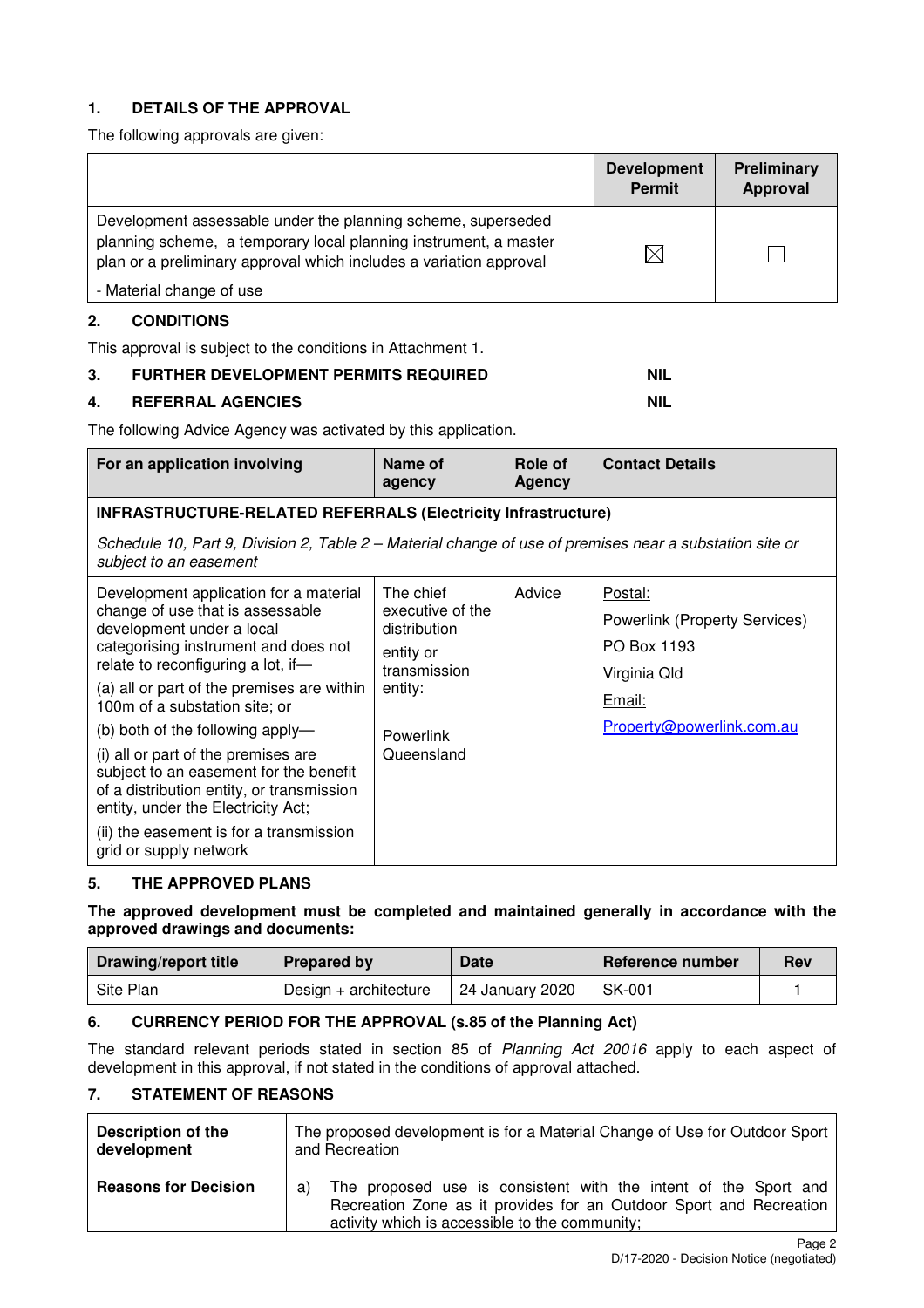# **1. DETAILS OF THE APPROVAL**

The following approvals are given:

|                                                                                                                                                                                                        | <b>Development</b><br><b>Permit</b> | <b>Preliminary</b><br>Approval |
|--------------------------------------------------------------------------------------------------------------------------------------------------------------------------------------------------------|-------------------------------------|--------------------------------|
| Development assessable under the planning scheme, superseded<br>planning scheme, a temporary local planning instrument, a master<br>plan or a preliminary approval which includes a variation approval | $\boxtimes$                         |                                |
| - Material change of use                                                                                                                                                                               |                                     |                                |

# **2. CONDITIONS**

This approval is subject to the conditions in Attachment 1.

## **3. FURTHER DEVELOPMENT PERMITS REQUIRED NIL REALLY ASSESSED AND REALLY REALLY ASSESSED AND REALLY ASSESSED AND REALLY REALLY ASSESSED AND REALLY ASSESSED AND REAL PROPERTY.**

## **4. REFERRAL AGENCIES** NIL **NIL**

The following Advice Agency was activated by this application.

| For an application involving                                                                                                                                                                                                                                                                                                                                                                                                                                                                                                                      | Name of<br>agency                                                                                                       | Role of<br><b>Agency</b> | <b>Contact Details</b>                                                                                                |
|---------------------------------------------------------------------------------------------------------------------------------------------------------------------------------------------------------------------------------------------------------------------------------------------------------------------------------------------------------------------------------------------------------------------------------------------------------------------------------------------------------------------------------------------------|-------------------------------------------------------------------------------------------------------------------------|--------------------------|-----------------------------------------------------------------------------------------------------------------------|
| <b>INFRASTRUCTURE-RELATED REFERRALS (Electricity Infrastructure)</b>                                                                                                                                                                                                                                                                                                                                                                                                                                                                              |                                                                                                                         |                          |                                                                                                                       |
| Schedule 10, Part 9, Division 2, Table 2 – Material change of use of premises near a substation site or<br>subject to an easement                                                                                                                                                                                                                                                                                                                                                                                                                 |                                                                                                                         |                          |                                                                                                                       |
| Development application for a material<br>change of use that is assessable<br>development under a local<br>categorising instrument and does not<br>relate to reconfiguring a lot, if-<br>(a) all or part of the premises are within<br>100m of a substation site; or<br>(b) both of the following apply-<br>(i) all or part of the premises are<br>subject to an easement for the benefit<br>of a distribution entity, or transmission<br>entity, under the Electricity Act;<br>(ii) the easement is for a transmission<br>grid or supply network | The chief<br>executive of the<br>distribution<br>entity or<br>transmission<br>entity:<br><b>Powerlink</b><br>Queensland | Advice                   | Postal:<br><b>Powerlink (Property Services)</b><br>PO Box 1193<br>Virginia Qld<br>Email:<br>Property@powerlink.com.au |

#### **5. THE APPROVED PLANS**

**The approved development must be completed and maintained generally in accordance with the approved drawings and documents:** 

| <b>Drawing/report title</b> | Prepared by           | <b>Date</b>                  | Reference number | <b>Rev</b> |
|-----------------------------|-----------------------|------------------------------|------------------|------------|
| Site Plan                   | Design + architecture | <sup>1</sup> 24 January 2020 | SK-001           |            |

#### **6. CURRENCY PERIOD FOR THE APPROVAL (s.85 of the Planning Act)**

The standard relevant periods stated in section 85 of Planning Act 20016 apply to each aspect of development in this approval, if not stated in the conditions of approval attached.

## **7. STATEMENT OF REASONS**

| Description of the          | The proposed development is for a Material Change of Use for Outdoor Sport                                                                                                                    |  |  |
|-----------------------------|-----------------------------------------------------------------------------------------------------------------------------------------------------------------------------------------------|--|--|
| development                 | and Recreation                                                                                                                                                                                |  |  |
| <b>Reasons for Decision</b> | The proposed use is consistent with the intent of the Sport and<br>a)<br>Recreation Zone as it provides for an Outdoor Sport and Recreation<br>activity which is accessible to the community; |  |  |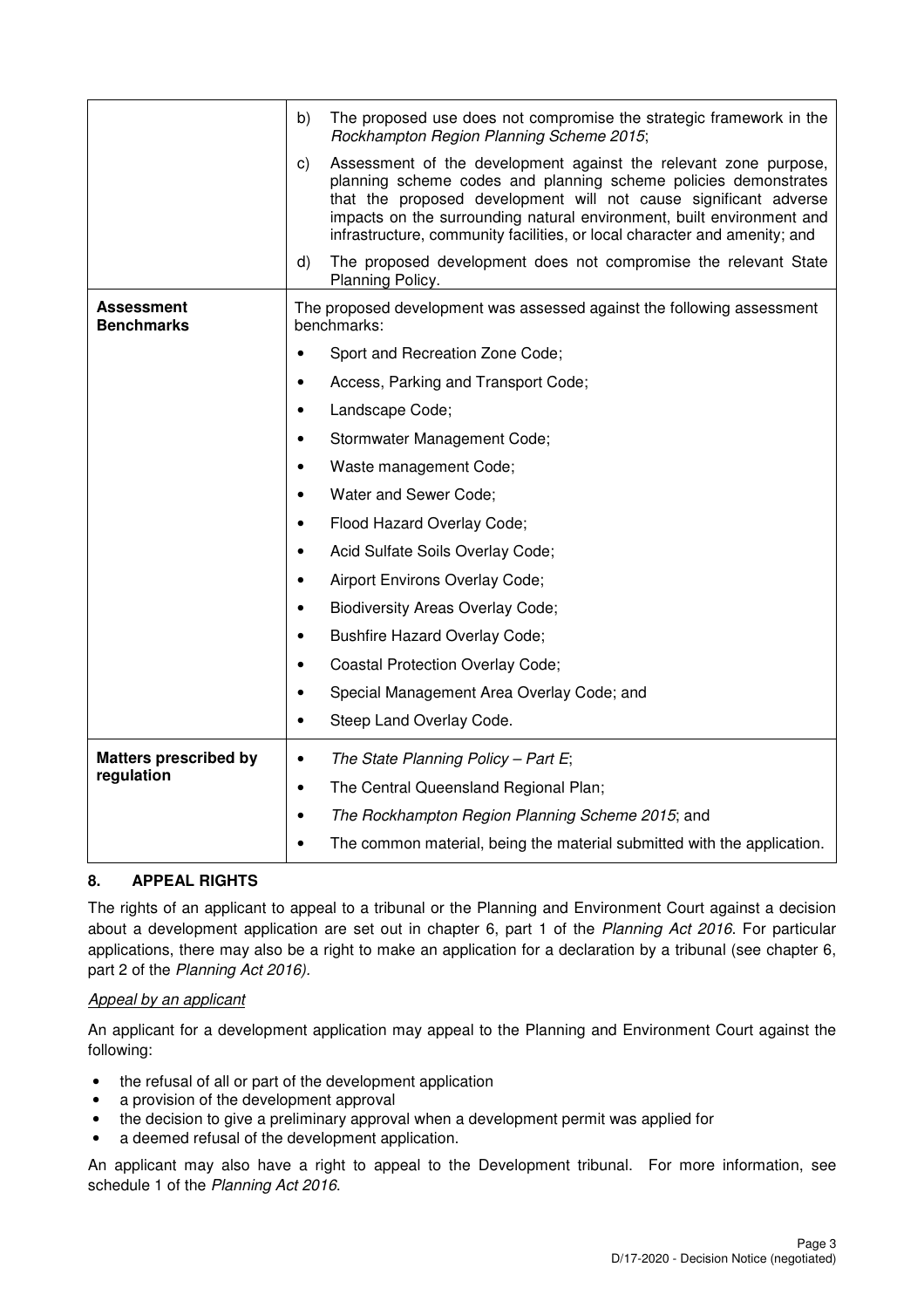|                                 | b)<br>The proposed use does not compromise the strategic framework in the<br>Rockhampton Region Planning Scheme 2015;                                                                                                                                                                                                                                               |
|---------------------------------|---------------------------------------------------------------------------------------------------------------------------------------------------------------------------------------------------------------------------------------------------------------------------------------------------------------------------------------------------------------------|
|                                 | Assessment of the development against the relevant zone purpose,<br>C)<br>planning scheme codes and planning scheme policies demonstrates<br>that the proposed development will not cause significant adverse<br>impacts on the surrounding natural environment, built environment and<br>infrastructure, community facilities, or local character and amenity; and |
|                                 | The proposed development does not compromise the relevant State<br>d)<br>Planning Policy.                                                                                                                                                                                                                                                                           |
| Assessment<br><b>Benchmarks</b> | The proposed development was assessed against the following assessment<br>benchmarks:                                                                                                                                                                                                                                                                               |
|                                 | Sport and Recreation Zone Code;                                                                                                                                                                                                                                                                                                                                     |
|                                 | Access, Parking and Transport Code;                                                                                                                                                                                                                                                                                                                                 |
|                                 | Landscape Code;<br>$\bullet$                                                                                                                                                                                                                                                                                                                                        |
|                                 | Stormwater Management Code;                                                                                                                                                                                                                                                                                                                                         |
|                                 | Waste management Code;<br>$\bullet$                                                                                                                                                                                                                                                                                                                                 |
|                                 | Water and Sewer Code;                                                                                                                                                                                                                                                                                                                                               |
|                                 | Flood Hazard Overlay Code;<br>$\bullet$                                                                                                                                                                                                                                                                                                                             |
|                                 | Acid Sulfate Soils Overlay Code;<br>$\bullet$                                                                                                                                                                                                                                                                                                                       |
|                                 | Airport Environs Overlay Code;                                                                                                                                                                                                                                                                                                                                      |
|                                 | <b>Biodiversity Areas Overlay Code;</b><br>$\bullet$                                                                                                                                                                                                                                                                                                                |
|                                 | <b>Bushfire Hazard Overlay Code;</b>                                                                                                                                                                                                                                                                                                                                |
|                                 | <b>Coastal Protection Overlay Code;</b>                                                                                                                                                                                                                                                                                                                             |
|                                 | Special Management Area Overlay Code; and<br>$\bullet$                                                                                                                                                                                                                                                                                                              |
|                                 | Steep Land Overlay Code.<br>$\bullet$                                                                                                                                                                                                                                                                                                                               |
| <b>Matters prescribed by</b>    | The State Planning Policy - Part E;<br>$\bullet$                                                                                                                                                                                                                                                                                                                    |
| regulation                      | The Central Queensland Regional Plan;<br>$\bullet$                                                                                                                                                                                                                                                                                                                  |
|                                 | The Rockhampton Region Planning Scheme 2015; and<br>$\bullet$                                                                                                                                                                                                                                                                                                       |
|                                 | The common material, being the material submitted with the application.                                                                                                                                                                                                                                                                                             |
|                                 |                                                                                                                                                                                                                                                                                                                                                                     |

# **8. APPEAL RIGHTS**

The rights of an applicant to appeal to a tribunal or the Planning and Environment Court against a decision about a development application are set out in chapter 6, part 1 of the Planning Act 2016. For particular applications, there may also be a right to make an application for a declaration by a tribunal (see chapter 6, part 2 of the Planning Act 2016).

# Appeal by an applicant

An applicant for a development application may appeal to the Planning and Environment Court against the following:

- the refusal of all or part of the development application
- a provision of the development approval
- the decision to give a preliminary approval when a development permit was applied for
- a deemed refusal of the development application.

An applicant may also have a right to appeal to the Development tribunal. For more information, see schedule 1 of the Planning Act 2016.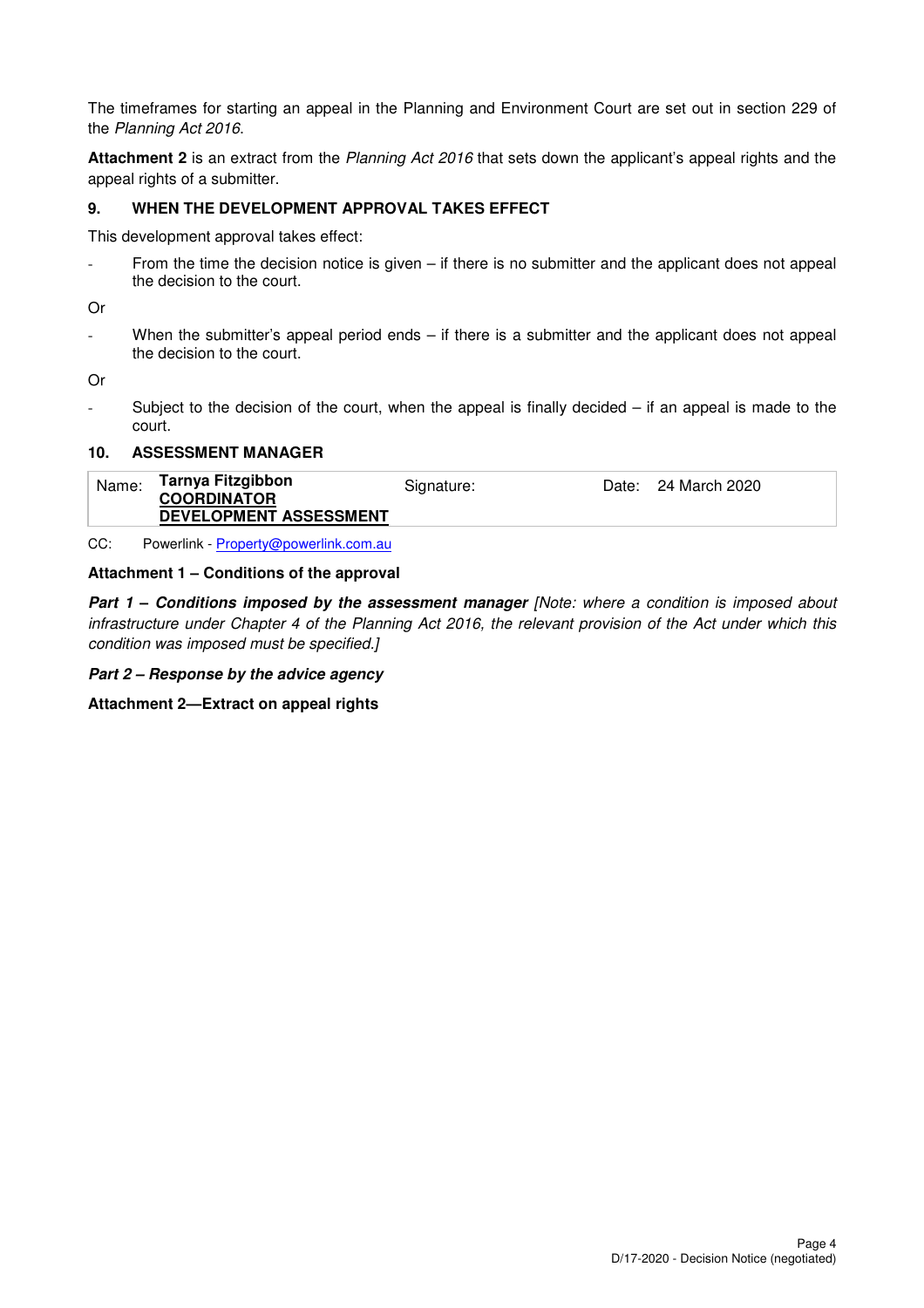The timeframes for starting an appeal in the Planning and Environment Court are set out in section 229 of the Planning Act 2016.

**Attachment 2** is an extract from the Planning Act 2016 that sets down the applicant's appeal rights and the appeal rights of a submitter.

# **9. WHEN THE DEVELOPMENT APPROVAL TAKES EFFECT**

This development approval takes effect:

From the time the decision notice is given  $-$  if there is no submitter and the applicant does not appeal the decision to the court.

Or

When the submitter's appeal period ends  $-$  if there is a submitter and the applicant does not appeal the decision to the court.

Or

Subject to the decision of the court, when the appeal is finally decided  $-$  if an appeal is made to the court.

#### **10. ASSESSMENT MANAGER**

| Name: | Tarnya Fitzgibbon<br><b>COORDINATOR</b> | Signature: | Date: 24 March 2020 |
|-------|-----------------------------------------|------------|---------------------|
|       | DEVELOPMENT ASSESSMENT                  |            |                     |

CC: Powerlink - Property@powerlink.com.au

#### **Attachment 1 – Conditions of the approval**

**Part 1 - Conditions imposed by the assessment manager [Note: where a condition is imposed about** infrastructure under Chapter 4 of the Planning Act 2016, the relevant provision of the Act under which this condition was imposed must be specified.]

**Part 2 – Response by the advice agency**

**Attachment 2—Extract on appeal rights**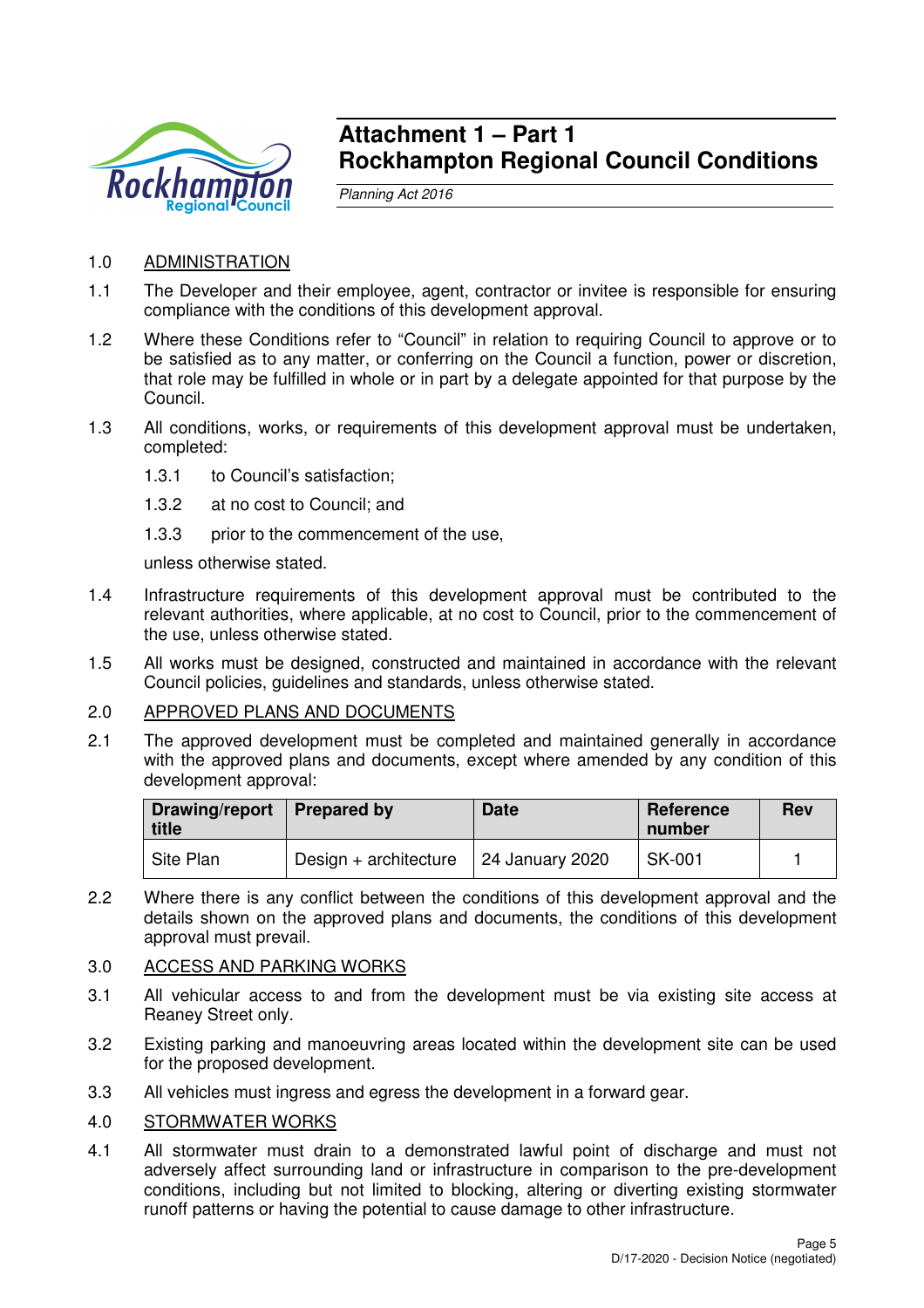

# **Attachment 1 – Part 1 Rockhampton Regional Council Conditions**

Planning Act 2016

# 1.0 ADMINISTRATION

- 1.1 The Developer and their employee, agent, contractor or invitee is responsible for ensuring compliance with the conditions of this development approval.
- 1.2 Where these Conditions refer to "Council" in relation to requiring Council to approve or to be satisfied as to any matter, or conferring on the Council a function, power or discretion, that role may be fulfilled in whole or in part by a delegate appointed for that purpose by the Council.
- 1.3 All conditions, works, or requirements of this development approval must be undertaken, completed:
	- 1.3.1 to Council's satisfaction;
	- 1.3.2 at no cost to Council; and
	- 1.3.3 prior to the commencement of the use,

unless otherwise stated.

- 1.4 Infrastructure requirements of this development approval must be contributed to the relevant authorities, where applicable, at no cost to Council, prior to the commencement of the use, unless otherwise stated.
- 1.5 All works must be designed, constructed and maintained in accordance with the relevant Council policies, guidelines and standards, unless otherwise stated.

#### 2.0 APPROVED PLANS AND DOCUMENTS

2.1 The approved development must be completed and maintained generally in accordance with the approved plans and documents, except where amended by any condition of this development approval:

| Drawing/report   Prepared by<br>title |                         | <b>Date</b>     | Reference<br>number | <b>Rev</b> |
|---------------------------------------|-------------------------|-----------------|---------------------|------------|
| Site Plan                             | Design $+$ architecture | 24 January 2020 | SK-001              |            |

2.2 Where there is any conflict between the conditions of this development approval and the details shown on the approved plans and documents, the conditions of this development approval must prevail.

# 3.0 ACCESS AND PARKING WORKS

- 3.1 All vehicular access to and from the development must be via existing site access at Reaney Street only.
- 3.2 Existing parking and manoeuvring areas located within the development site can be used for the proposed development.
- 3.3 All vehicles must ingress and egress the development in a forward gear.

#### 4.0 STORMWATER WORKS

4.1 All stormwater must drain to a demonstrated lawful point of discharge and must not adversely affect surrounding land or infrastructure in comparison to the pre-development conditions, including but not limited to blocking, altering or diverting existing stormwater runoff patterns or having the potential to cause damage to other infrastructure.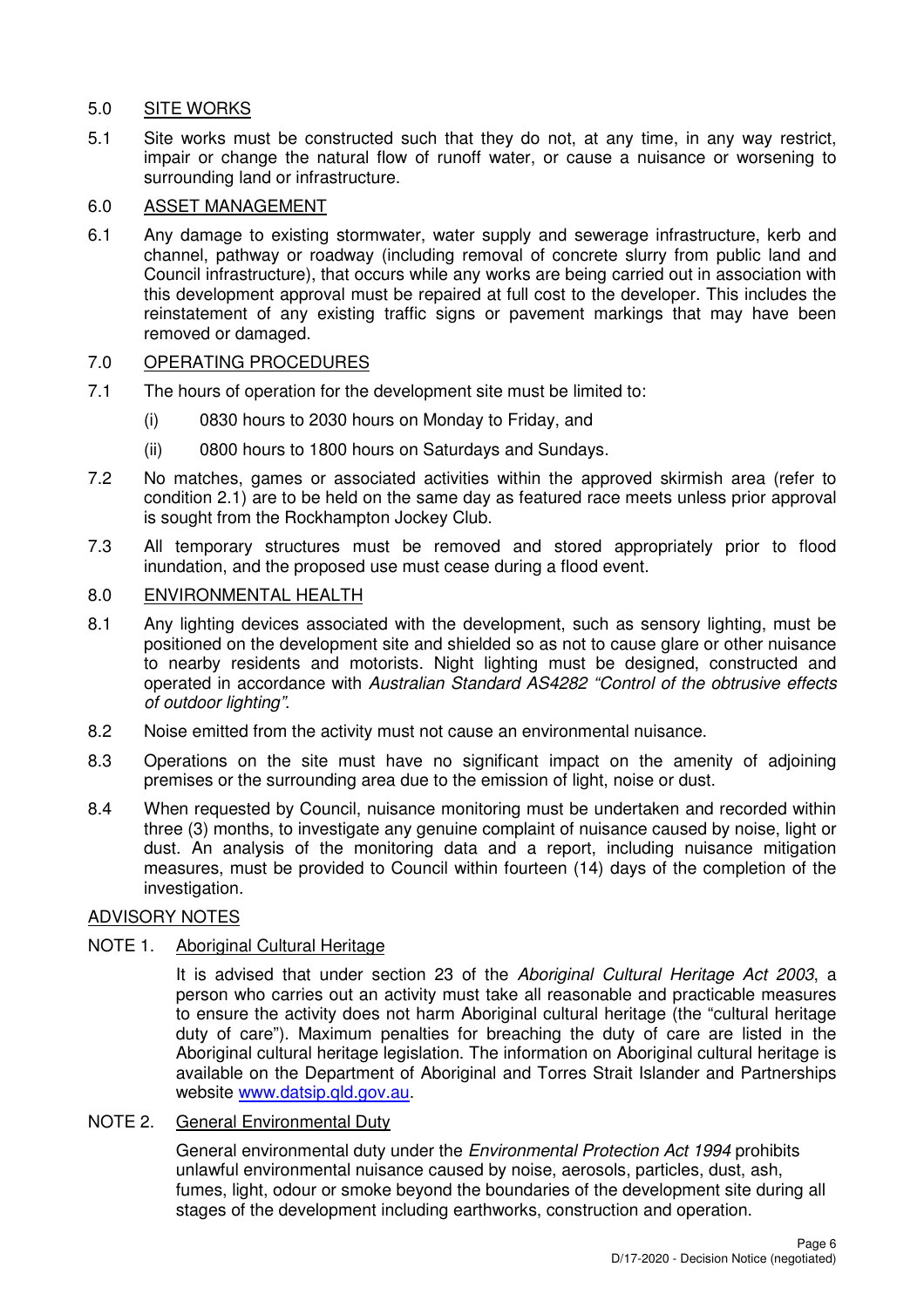# 5.0 SITE WORKS

5.1 Site works must be constructed such that they do not, at any time, in any way restrict, impair or change the natural flow of runoff water, or cause a nuisance or worsening to surrounding land or infrastructure.

# 6.0 ASSET MANAGEMENT

6.1 Any damage to existing stormwater, water supply and sewerage infrastructure, kerb and channel, pathway or roadway (including removal of concrete slurry from public land and Council infrastructure), that occurs while any works are being carried out in association with this development approval must be repaired at full cost to the developer. This includes the reinstatement of any existing traffic signs or pavement markings that may have been removed or damaged.

# 7.0 OPERATING PROCEDURES

- 7.1 The hours of operation for the development site must be limited to:
	- (i) 0830 hours to 2030 hours on Monday to Friday, and
	- (ii) 0800 hours to 1800 hours on Saturdays and Sundays.
- 7.2 No matches, games or associated activities within the approved skirmish area (refer to condition 2.1) are to be held on the same day as featured race meets unless prior approval is sought from the Rockhampton Jockey Club.
- 7.3 All temporary structures must be removed and stored appropriately prior to flood inundation, and the proposed use must cease during a flood event.

# 8.0 ENVIRONMENTAL HEALTH

- 8.1 Any lighting devices associated with the development, such as sensory lighting, must be positioned on the development site and shielded so as not to cause glare or other nuisance to nearby residents and motorists. Night lighting must be designed, constructed and operated in accordance with Australian Standard AS4282 "Control of the obtrusive effects of outdoor lighting".
- 8.2 Noise emitted from the activity must not cause an environmental nuisance.
- 8.3 Operations on the site must have no significant impact on the amenity of adjoining premises or the surrounding area due to the emission of light, noise or dust.
- 8.4 When requested by Council, nuisance monitoring must be undertaken and recorded within three (3) months, to investigate any genuine complaint of nuisance caused by noise, light or dust. An analysis of the monitoring data and a report, including nuisance mitigation measures, must be provided to Council within fourteen (14) days of the completion of the investigation.

# ADVISORY NOTES

# NOTE 1. Aboriginal Cultural Heritage

It is advised that under section 23 of the Aboriginal Cultural Heritage Act 2003, a person who carries out an activity must take all reasonable and practicable measures to ensure the activity does not harm Aboriginal cultural heritage (the "cultural heritage duty of care"). Maximum penalties for breaching the duty of care are listed in the Aboriginal cultural heritage legislation. The information on Aboriginal cultural heritage is available on the Department of Aboriginal and Torres Strait Islander and Partnerships website www.datsip.qld.gov.au.

# NOTE 2. General Environmental Duty

General environmental duty under the *Environmental Protection Act 1994* prohibits unlawful environmental nuisance caused by noise, aerosols, particles, dust, ash, fumes, light, odour or smoke beyond the boundaries of the development site during all stages of the development including earthworks, construction and operation.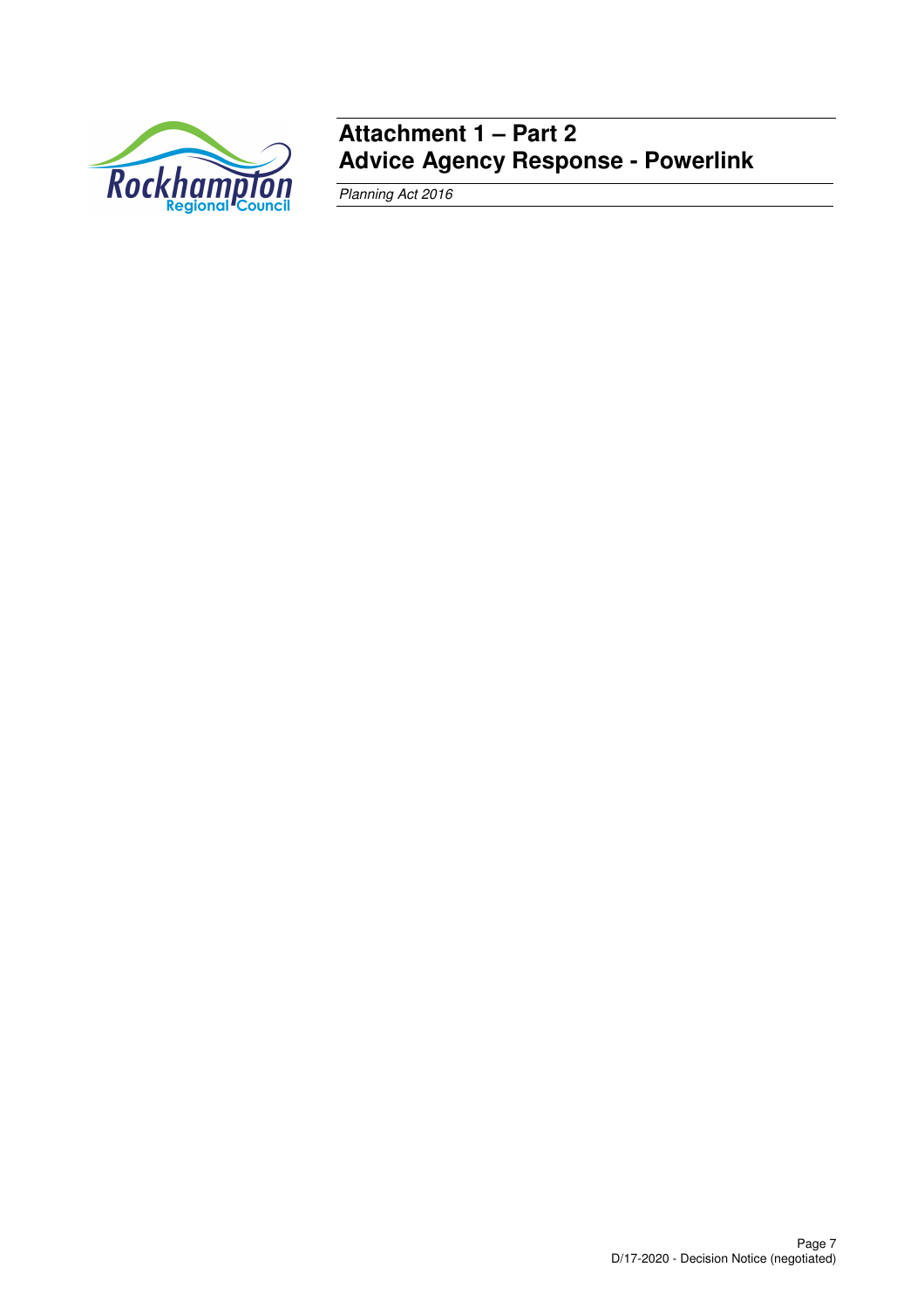

# **Attachment 1 – Part 2 Advice Agency Response - Powerlink**

Planning Act 2016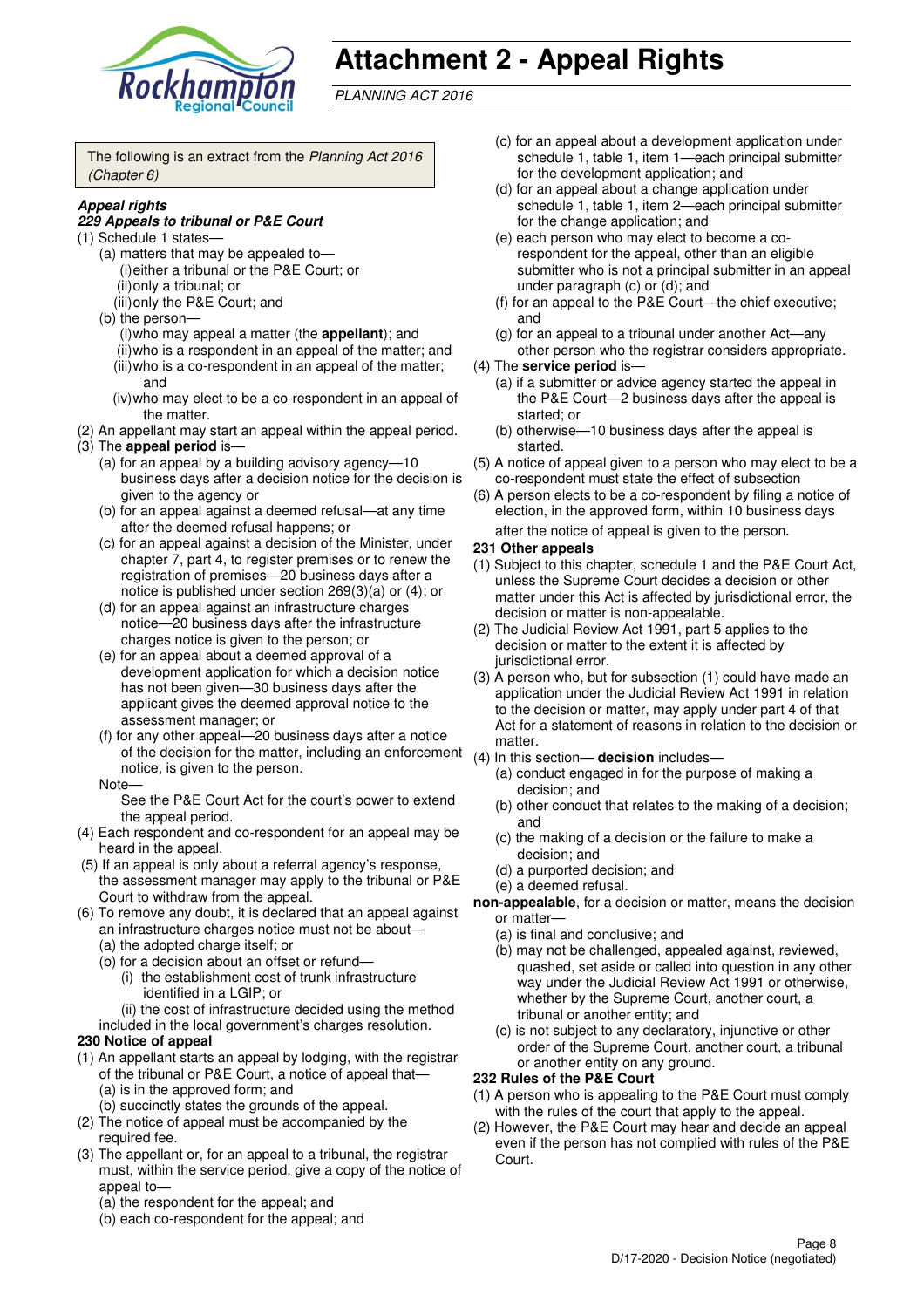

# **Attachment 2 - Appeal Rights**

PLANNING ACT 2016

The following is an extract from the Planning Act 2016 (Chapter 6)

## **Appeal rights**

#### **229 Appeals to tribunal or P&E Court**

- (1) Schedule 1 states—
	- (a) matters that may be appealed to— (i) either a tribunal or the P&E Court; or (ii) only a tribunal; or
	- (iii) only the P&E Court; and
	- (b) the person— (i) who may appeal a matter (the **appellant**); and
		- (ii) who is a respondent in an appeal of the matter; and (iii) who is a co-respondent in an appeal of the matter; and
		- (iv) who may elect to be a co-respondent in an appeal of the matter.
- (2) An appellant may start an appeal within the appeal period. (3) The **appeal period** is—
	- (a) for an appeal by a building advisory agency—10 business days after a decision notice for the decision is given to the agency or
	- (b) for an appeal against a deemed refusal—at any time after the deemed refusal happens; or
	- (c) for an appeal against a decision of the Minister, under chapter 7, part 4, to register premises or to renew the registration of premises—20 business days after a notice is published under section 269(3)(a) or (4); or
	- (d) for an appeal against an infrastructure charges notice—20 business days after the infrastructure charges notice is given to the person; or
	- (e) for an appeal about a deemed approval of a development application for which a decision notice has not been given—30 business days after the applicant gives the deemed approval notice to the assessment manager; or
	- (f) for any other appeal—20 business days after a notice of the decision for the matter, including an enforcement notice, is given to the person.

#### Note—

See the P&E Court Act for the court's power to extend the appeal period.

- (4) Each respondent and co-respondent for an appeal may be heard in the appeal.
- (5) If an appeal is only about a referral agency's response, the assessment manager may apply to the tribunal or P&E Court to withdraw from the appeal.
- (6) To remove any doubt, it is declared that an appeal against an infrastructure charges notice must not be about—
	- (a) the adopted charge itself; or
	- (b) for a decision about an offset or refund— (i) the establishment cost of trunk infrastructure identified in a LGIP; or

(ii) the cost of infrastructure decided using the method

included in the local government's charges resolution.

# **230 Notice of appeal**

- (1) An appellant starts an appeal by lodging, with the registrar of the tribunal or P&E Court, a notice of appeal that— (a) is in the approved form; and
	- (b) succinctly states the grounds of the appeal.
- (2) The notice of appeal must be accompanied by the required fee.
- (3) The appellant or, for an appeal to a tribunal, the registrar must, within the service period, give a copy of the notice of appeal to—
	- (a) the respondent for the appeal; and
	- (b) each co-respondent for the appeal; and
- (c) for an appeal about a development application under schedule 1, table 1, item 1—each principal submitter for the development application; and
- (d) for an appeal about a change application under schedule 1, table 1, item 2—each principal submitter for the change application; and
- (e) each person who may elect to become a corespondent for the appeal, other than an eligible submitter who is not a principal submitter in an appeal under paragraph (c) or (d); and
- (f) for an appeal to the P&E Court—the chief executive; and
- (g) for an appeal to a tribunal under another Act—any other person who the registrar considers appropriate.
- (4) The **service period** is—
	- (a) if a submitter or advice agency started the appeal in the P&E Court—2 business days after the appeal is started; or
	- (b) otherwise—10 business days after the appeal is started.
- (5) A notice of appeal given to a person who may elect to be a co-respondent must state the effect of subsection
- (6) A person elects to be a co-respondent by filing a notice of election, in the approved form, within 10 business days after the notice of appeal is given to the person*.*

#### **231 Other appeals**

- (1) Subject to this chapter, schedule 1 and the P&E Court Act, unless the Supreme Court decides a decision or other matter under this Act is affected by jurisdictional error, the decision or matter is non-appealable.
- (2) The Judicial Review Act 1991, part 5 applies to the decision or matter to the extent it is affected by jurisdictional error.
- (3) A person who, but for subsection (1) could have made an application under the Judicial Review Act 1991 in relation to the decision or matter, may apply under part 4 of that Act for a statement of reasons in relation to the decision or matter.
- (4) In this section— **decision** includes—
	- (a) conduct engaged in for the purpose of making a decision; and
	- (b) other conduct that relates to the making of a decision; and
	- (c) the making of a decision or the failure to make a decision; and
	- (d) a purported decision; and
	- (e) a deemed refusal.
- **non-appealable**, for a decision or matter, means the decision or matter—
	- (a) is final and conclusive; and
	- (b) may not be challenged, appealed against, reviewed, quashed, set aside or called into question in any other way under the Judicial Review Act 1991 or otherwise, whether by the Supreme Court, another court, a tribunal or another entity; and
	- (c) is not subject to any declaratory, injunctive or other order of the Supreme Court, another court, a tribunal or another entity on any ground.

#### **232 Rules of the P&E Court**

- (1) A person who is appealing to the P&E Court must comply with the rules of the court that apply to the appeal.
- (2) However, the P&E Court may hear and decide an appeal even if the person has not complied with rules of the P&E Court.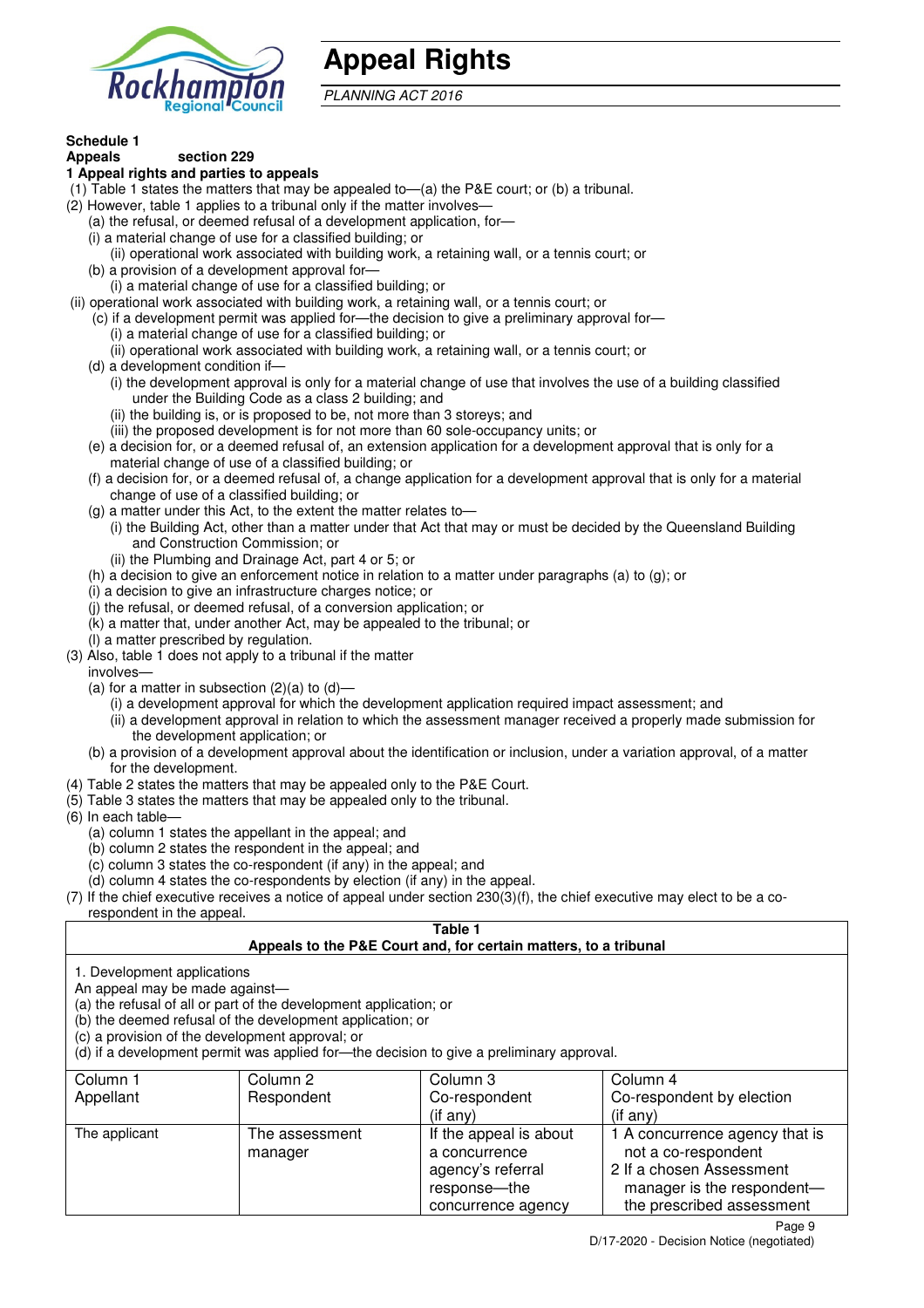

# **Appeal Rights**

PLANNING ACT 2016

# **Schedule 1**

#### **Appeals section 229 1 Appeal rights and parties to appeals**

- (1) Table 1 states the matters that may be appealed to—(a) the P&E court; or (b) a tribunal.
- (2) However, table 1 applies to a tribunal only if the matter involves—
	- (a) the refusal, or deemed refusal of a development application, for—
	- (i) a material change of use for a classified building; or
	- (ii) operational work associated with building work, a retaining wall, or a tennis court; or
	- (b) a provision of a development approval for—
	- (i) a material change of use for a classified building; or
- (ii) operational work associated with building work, a retaining wall, or a tennis court; or
	- (c) if a development permit was applied for—the decision to give a preliminary approval for—
		- (i) a material change of use for a classified building; or
		- (ii) operational work associated with building work, a retaining wall, or a tennis court; or
	- (d) a development condition if—
		- (i) the development approval is only for a material change of use that involves the use of a building classified under the Building Code as a class 2 building; and
		- (ii) the building is, or is proposed to be, not more than 3 storeys; and
		- (iii) the proposed development is for not more than 60 sole-occupancy units; or
	- (e) a decision for, or a deemed refusal of, an extension application for a development approval that is only for a material change of use of a classified building; or
	- (f) a decision for, or a deemed refusal of, a change application for a development approval that is only for a material change of use of a classified building; or
	- (g) a matter under this Act, to the extent the matter relates to—
		- (i) the Building Act, other than a matter under that Act that may or must be decided by the Queensland Building and Construction Commission; or
			- (ii) the Plumbing and Drainage Act, part 4 or 5; or
	- (h) a decision to give an enforcement notice in relation to a matter under paragraphs (a) to (g); or
	- (i) a decision to give an infrastructure charges notice; or
	- (j) the refusal, or deemed refusal, of a conversion application; or
	- (k) a matter that, under another Act, may be appealed to the tribunal; or
	- (l) a matter prescribed by regulation.
- (3) Also, table 1 does not apply to a tribunal if the matter
- involves—
	- (a) for a matter in subsection  $(2)(a)$  to  $(d)$ -
		- (i) a development approval for which the development application required impact assessment; and
		- (ii) a development approval in relation to which the assessment manager received a properly made submission for the development application; or
	- (b) a provision of a development approval about the identification or inclusion, under a variation approval, of a matter for the development.
- (4) Table 2 states the matters that may be appealed only to the P&E Court.
- (5) Table 3 states the matters that may be appealed only to the tribunal.
- (6) In each table—
	- (a) column 1 states the appellant in the appeal; and
	- (b) column 2 states the respondent in the appeal; and
	- (c) column 3 states the co-respondent (if any) in the appeal; and
- (d) column 4 states the co-respondents by election (if any) in the appeal.
- (7) If the chief executive receives a notice of appeal under section 230(3)(f), the chief executive may elect to be a corespondent in the appeal.

#### **Table 1**

# **Appeals to the P&E Court and, for certain matters, to a tribunal**

1. Development applications

An appeal may be made against—

(a) the refusal of all or part of the development application; or

(b) the deemed refusal of the development application; or

(c) a provision of the development approval; or

(d) if a development permit was applied for—the decision to give a preliminary approval.

| Column 1      | Column 2       | Column 3               | Column 4                       |
|---------------|----------------|------------------------|--------------------------------|
| Appellant     | Respondent     | Co-respondent          | Co-respondent by election      |
|               |                | $($ if any $)$         | $(i f \text{ any})$            |
| The applicant | The assessment | If the appeal is about | 1 A concurrence agency that is |
|               | manager        | a concurrence          | not a co-respondent            |
|               |                | agency's referral      | 2 If a chosen Assessment       |
|               |                | response—the           | manager is the respondent-     |
|               |                | concurrence agency     | the prescribed assessment      |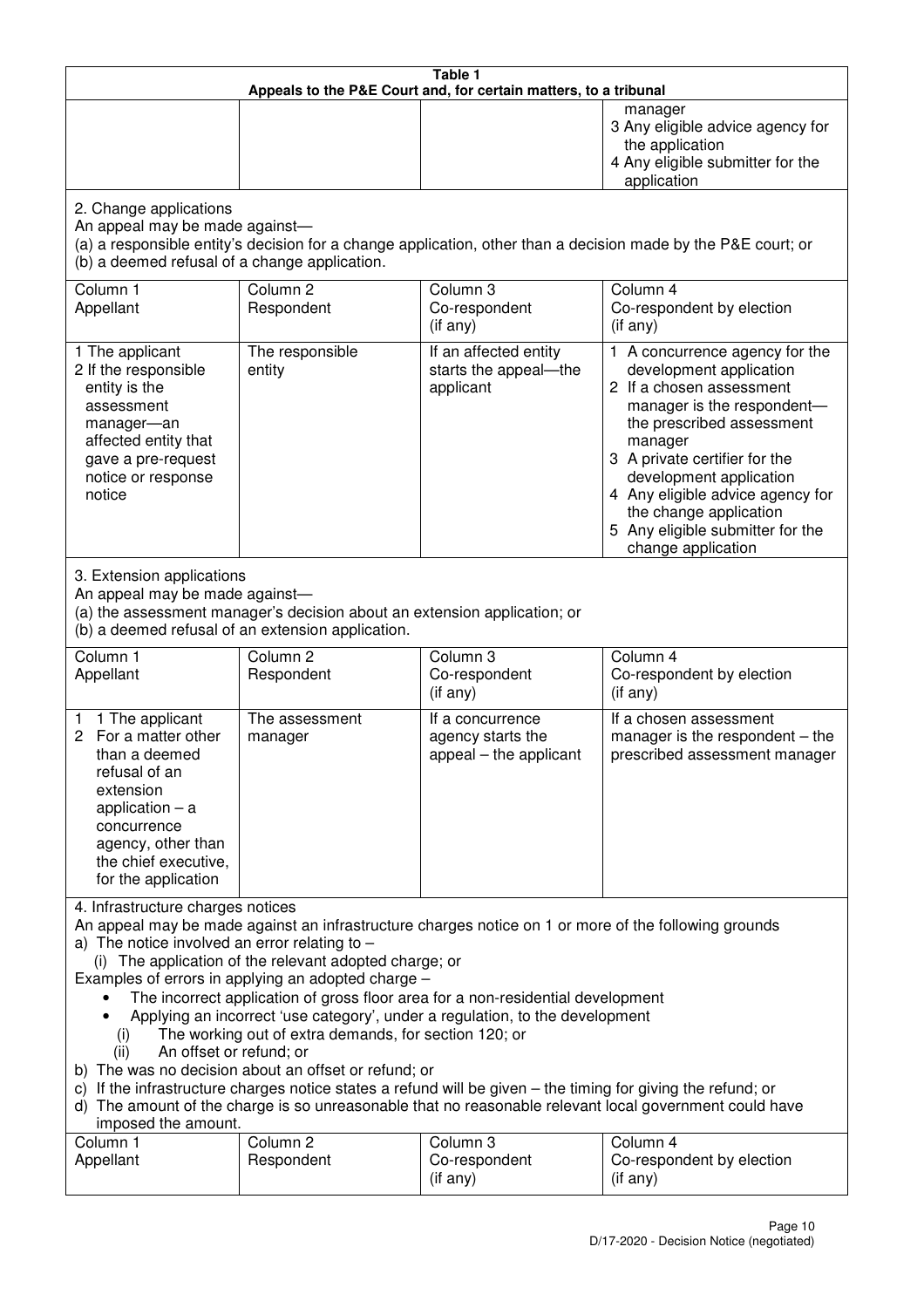| Table 1<br>Appeals to the P&E Court and, for certain matters, to a tribunal                                                                                                                                                                                                                                                                                                                                                                                                                                                                                                                                                                                                                                                                                                                                                                                                                 |                                                                                                                               |                                                                 |                                                                                                                                                                                                                                                                                                                                                 |  |
|---------------------------------------------------------------------------------------------------------------------------------------------------------------------------------------------------------------------------------------------------------------------------------------------------------------------------------------------------------------------------------------------------------------------------------------------------------------------------------------------------------------------------------------------------------------------------------------------------------------------------------------------------------------------------------------------------------------------------------------------------------------------------------------------------------------------------------------------------------------------------------------------|-------------------------------------------------------------------------------------------------------------------------------|-----------------------------------------------------------------|-------------------------------------------------------------------------------------------------------------------------------------------------------------------------------------------------------------------------------------------------------------------------------------------------------------------------------------------------|--|
|                                                                                                                                                                                                                                                                                                                                                                                                                                                                                                                                                                                                                                                                                                                                                                                                                                                                                             |                                                                                                                               |                                                                 | manager<br>3 Any eligible advice agency for<br>the application<br>4 Any eligible submitter for the<br>application                                                                                                                                                                                                                               |  |
| 2. Change applications<br>An appeal may be made against-<br>(b) a deemed refusal of a change application.                                                                                                                                                                                                                                                                                                                                                                                                                                                                                                                                                                                                                                                                                                                                                                                   |                                                                                                                               |                                                                 | (a) a responsible entity's decision for a change application, other than a decision made by the P&E court; or                                                                                                                                                                                                                                   |  |
| Column 1<br>Appellant                                                                                                                                                                                                                                                                                                                                                                                                                                                                                                                                                                                                                                                                                                                                                                                                                                                                       | Column <sub>2</sub><br>Respondent                                                                                             | Column 3<br>Co-respondent<br>(if any)                           | Column 4<br>Co-respondent by election<br>(if any)                                                                                                                                                                                                                                                                                               |  |
| 1 The applicant<br>2 If the responsible<br>entity is the<br>assessment<br>manager-an<br>affected entity that<br>gave a pre-request<br>notice or response<br>notice                                                                                                                                                                                                                                                                                                                                                                                                                                                                                                                                                                                                                                                                                                                          | The responsible<br>entity                                                                                                     | If an affected entity<br>starts the appeal-the<br>applicant     | 1 A concurrence agency for the<br>development application<br>2 If a chosen assessment<br>manager is the respondent-<br>the prescribed assessment<br>manager<br>3 A private certifier for the<br>development application<br>4 Any eligible advice agency for<br>the change application<br>5 Any eligible submitter for the<br>change application |  |
| 3. Extension applications<br>An appeal may be made against-                                                                                                                                                                                                                                                                                                                                                                                                                                                                                                                                                                                                                                                                                                                                                                                                                                 | (a) the assessment manager's decision about an extension application; or<br>(b) a deemed refusal of an extension application. |                                                                 |                                                                                                                                                                                                                                                                                                                                                 |  |
| Column 1<br>Appellant                                                                                                                                                                                                                                                                                                                                                                                                                                                                                                                                                                                                                                                                                                                                                                                                                                                                       | Column <sub>2</sub><br>Respondent                                                                                             | Column 3<br>Co-respondent<br>(if any)                           | Column 4<br>Co-respondent by election<br>(if any)                                                                                                                                                                                                                                                                                               |  |
| 1 The applicant<br>1.<br>For a matter other<br>than a deemed<br>refusal of an<br>extension<br>application $-$ a<br>concurrence<br>agency, other than<br>the chief executive,<br>for the application                                                                                                                                                                                                                                                                                                                                                                                                                                                                                                                                                                                                                                                                                         | The assessment<br>manager                                                                                                     | If a concurrence<br>agency starts the<br>appeal – the applicant | If a chosen assessment<br>manager is the respondent $-$ the<br>prescribed assessment manager                                                                                                                                                                                                                                                    |  |
| 4. Infrastructure charges notices<br>An appeal may be made against an infrastructure charges notice on 1 or more of the following grounds<br>a) The notice involved an error relating to $-$<br>(i) The application of the relevant adopted charge; or<br>Examples of errors in applying an adopted charge -<br>The incorrect application of gross floor area for a non-residential development<br>Applying an incorrect 'use category', under a regulation, to the development<br>The working out of extra demands, for section 120; or<br>(i)<br>An offset or refund; or<br>(ii)<br>b) The was no decision about an offset or refund; or<br>c) If the infrastructure charges notice states a refund will be given – the timing for giving the refund; or<br>d) The amount of the charge is so unreasonable that no reasonable relevant local government could have<br>imposed the amount. |                                                                                                                               |                                                                 |                                                                                                                                                                                                                                                                                                                                                 |  |
| Column 1<br>Appellant                                                                                                                                                                                                                                                                                                                                                                                                                                                                                                                                                                                                                                                                                                                                                                                                                                                                       | Column <sub>2</sub><br>Respondent                                                                                             | Column 3<br>Co-respondent<br>(if any)                           | Column 4<br>Co-respondent by election<br>(if any)                                                                                                                                                                                                                                                                                               |  |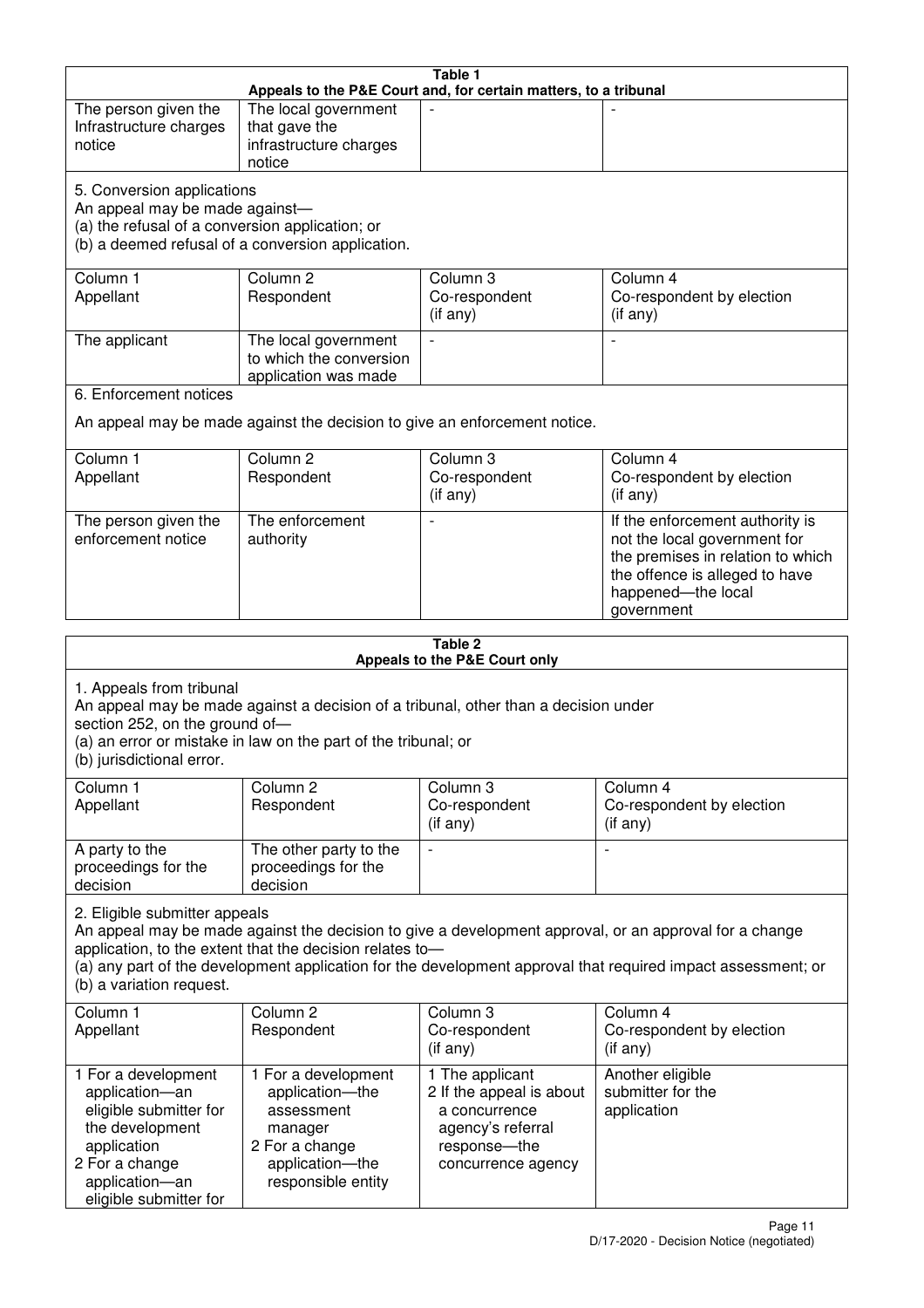| Table 1<br>Appeals to the P&E Court and, for certain matters, to a tribunal |                                                                                     |                               |                                                                                                              |  |
|-----------------------------------------------------------------------------|-------------------------------------------------------------------------------------|-------------------------------|--------------------------------------------------------------------------------------------------------------|--|
| The person given the                                                        | The local government                                                                |                               |                                                                                                              |  |
| Infrastructure charges                                                      | that gave the                                                                       |                               |                                                                                                              |  |
| notice                                                                      | infrastructure charges                                                              |                               |                                                                                                              |  |
|                                                                             | notice                                                                              |                               |                                                                                                              |  |
| 5. Conversion applications                                                  |                                                                                     |                               |                                                                                                              |  |
| An appeal may be made against-                                              |                                                                                     |                               |                                                                                                              |  |
| (a) the refusal of a conversion application; or                             |                                                                                     |                               |                                                                                                              |  |
|                                                                             | (b) a deemed refusal of a conversion application.                                   |                               |                                                                                                              |  |
| Column 1                                                                    | Column <sub>2</sub>                                                                 | Column 3                      | Column 4                                                                                                     |  |
| Appellant                                                                   | Respondent                                                                          | Co-respondent                 | Co-respondent by election                                                                                    |  |
|                                                                             |                                                                                     | (if any)                      | (if any)                                                                                                     |  |
| The applicant                                                               | The local government                                                                |                               |                                                                                                              |  |
|                                                                             | to which the conversion                                                             |                               |                                                                                                              |  |
|                                                                             | application was made                                                                |                               |                                                                                                              |  |
| 6. Enforcement notices                                                      |                                                                                     |                               |                                                                                                              |  |
|                                                                             | An appeal may be made against the decision to give an enforcement notice.           |                               |                                                                                                              |  |
|                                                                             |                                                                                     |                               |                                                                                                              |  |
| Column 1                                                                    | Column <sub>2</sub>                                                                 | Column 3                      | Column 4                                                                                                     |  |
| Appellant                                                                   | Respondent                                                                          | Co-respondent                 | Co-respondent by election<br>$($ if any $)$                                                                  |  |
|                                                                             |                                                                                     | (if any)                      |                                                                                                              |  |
| The person given the                                                        | The enforcement                                                                     |                               | If the enforcement authority is                                                                              |  |
| enforcement notice                                                          | authority                                                                           |                               | not the local government for<br>the premises in relation to which                                            |  |
|                                                                             |                                                                                     |                               | the offence is alleged to have                                                                               |  |
|                                                                             |                                                                                     |                               | happened-the local                                                                                           |  |
|                                                                             |                                                                                     |                               | government                                                                                                   |  |
|                                                                             |                                                                                     |                               |                                                                                                              |  |
| Table 2                                                                     |                                                                                     |                               |                                                                                                              |  |
|                                                                             |                                                                                     |                               |                                                                                                              |  |
|                                                                             |                                                                                     | Appeals to the P&E Court only |                                                                                                              |  |
| 1. Appeals from tribunal                                                    |                                                                                     |                               |                                                                                                              |  |
| section 252, on the ground of-                                              | An appeal may be made against a decision of a tribunal, other than a decision under |                               |                                                                                                              |  |
|                                                                             | (a) an error or mistake in law on the part of the tribunal; or                      |                               |                                                                                                              |  |
| (b) jurisdictional error.                                                   |                                                                                     |                               |                                                                                                              |  |
| Column 1                                                                    | Column <sub>2</sub>                                                                 | Column 3                      | Column 4                                                                                                     |  |
| Appellant                                                                   | Respondent                                                                          | Co-respondent                 | Co-respondent by election                                                                                    |  |
|                                                                             |                                                                                     | (if any)                      | (if any)                                                                                                     |  |
| A party to the                                                              | The other party to the                                                              |                               | $\overline{a}$                                                                                               |  |
| proceedings for the                                                         | proceedings for the                                                                 |                               |                                                                                                              |  |
| decision                                                                    | decision                                                                            |                               |                                                                                                              |  |
| 2. Eligible submitter appeals                                               |                                                                                     |                               |                                                                                                              |  |
|                                                                             |                                                                                     |                               | An appeal may be made against the decision to give a development approval, or an approval for a change       |  |
|                                                                             | application, to the extent that the decision relates to-                            |                               |                                                                                                              |  |
|                                                                             |                                                                                     |                               | (a) any part of the development application for the development approval that required impact assessment; or |  |
| (b) a variation request.                                                    |                                                                                     |                               |                                                                                                              |  |
| Column <sub>1</sub>                                                         | Column <sub>2</sub>                                                                 | Column <sub>3</sub>           | Column 4                                                                                                     |  |
| Appellant                                                                   | Respondent                                                                          | Co-respondent                 | Co-respondent by election                                                                                    |  |
|                                                                             |                                                                                     | (if any)                      | (if any)                                                                                                     |  |
| 1 For a development                                                         | 1 For a development                                                                 | 1 The applicant               | Another eligible                                                                                             |  |
| application-an                                                              | application-the                                                                     | 2 If the appeal is about      | submitter for the                                                                                            |  |
| eligible submitter for                                                      | assessment                                                                          | a concurrence                 | application                                                                                                  |  |
| the development                                                             | manager                                                                             | agency's referral             |                                                                                                              |  |
| application                                                                 | 2 For a change                                                                      | response-the                  |                                                                                                              |  |
| 2 For a change<br>application-an                                            | application-the<br>responsible entity                                               | concurrence agency            |                                                                                                              |  |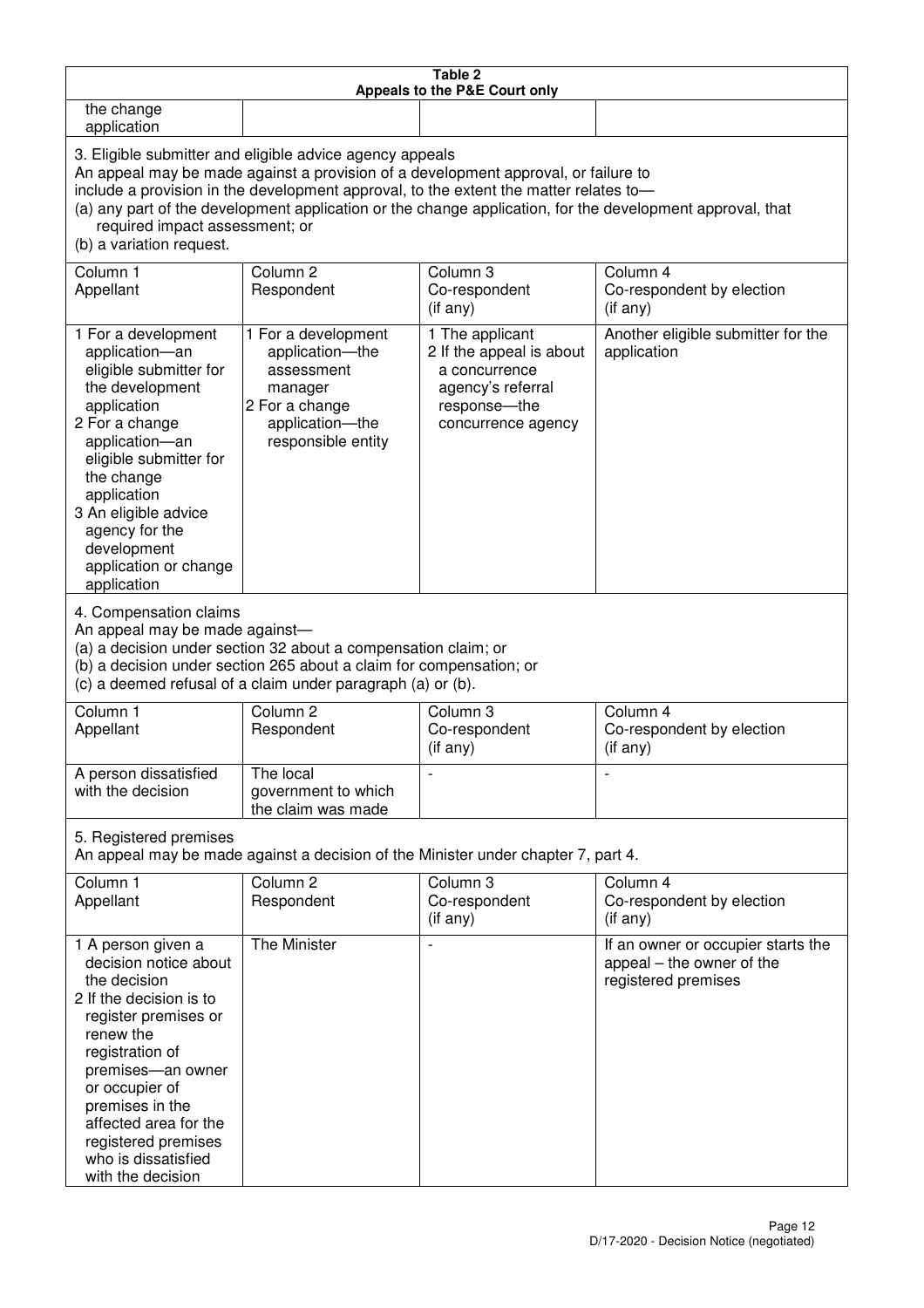| Table 2<br>Appeals to the P&E Court only                                                                                                                                                                                                                                                                                                                                                                           |                                                                                                                            |                                                                                                                           |                                                                                        |  |
|--------------------------------------------------------------------------------------------------------------------------------------------------------------------------------------------------------------------------------------------------------------------------------------------------------------------------------------------------------------------------------------------------------------------|----------------------------------------------------------------------------------------------------------------------------|---------------------------------------------------------------------------------------------------------------------------|----------------------------------------------------------------------------------------|--|
| the change<br>application                                                                                                                                                                                                                                                                                                                                                                                          |                                                                                                                            |                                                                                                                           |                                                                                        |  |
| 3. Eligible submitter and eligible advice agency appeals<br>An appeal may be made against a provision of a development approval, or failure to<br>include a provision in the development approval, to the extent the matter relates to-<br>(a) any part of the development application or the change application, for the development approval, that<br>required impact assessment; or<br>(b) a variation request. |                                                                                                                            |                                                                                                                           |                                                                                        |  |
| Column 1<br>Appellant                                                                                                                                                                                                                                                                                                                                                                                              | Column <sub>2</sub><br>Respondent                                                                                          | Column 3<br>Co-respondent<br>(if any)                                                                                     | Column 4<br>Co-respondent by election<br>(if any)                                      |  |
| 1 For a development<br>application-an<br>eligible submitter for<br>the development<br>application<br>2 For a change<br>application-an<br>eligible submitter for<br>the change<br>application<br>3 An eligible advice<br>agency for the<br>development<br>application or change<br>application                                                                                                                      | 1 For a development<br>application-the<br>assessment<br>manager<br>2 For a change<br>application-the<br>responsible entity | 1 The applicant<br>2 If the appeal is about<br>a concurrence<br>agency's referral<br>response---the<br>concurrence agency | Another eligible submitter for the<br>application                                      |  |
| 4. Compensation claims<br>An appeal may be made against-<br>(a) a decision under section 32 about a compensation claim; or<br>(b) a decision under section 265 about a claim for compensation; or<br>(c) a deemed refusal of a claim under paragraph (a) or (b).                                                                                                                                                   |                                                                                                                            |                                                                                                                           |                                                                                        |  |
| Column 1<br>Appellant                                                                                                                                                                                                                                                                                                                                                                                              | Column <sub>2</sub><br>Respondent                                                                                          | Column 3<br>Co-respondent<br>(if any)                                                                                     | Column 4<br>Co-respondent by election<br>(if any)                                      |  |
| A person dissatisfied<br>with the decision                                                                                                                                                                                                                                                                                                                                                                         | The local<br>government to which<br>the claim was made                                                                     |                                                                                                                           |                                                                                        |  |
| 5. Registered premises<br>An appeal may be made against a decision of the Minister under chapter 7, part 4.                                                                                                                                                                                                                                                                                                        |                                                                                                                            |                                                                                                                           |                                                                                        |  |
| Column 1<br>Appellant                                                                                                                                                                                                                                                                                                                                                                                              | Column <sub>2</sub><br>Respondent                                                                                          | Column 3<br>Co-respondent<br>(if any)                                                                                     | Column 4<br>Co-respondent by election<br>(if any)                                      |  |
| 1 A person given a<br>decision notice about<br>the decision<br>2 If the decision is to<br>register premises or<br>renew the<br>registration of<br>premises-an owner<br>or occupier of<br>premises in the<br>affected area for the<br>registered premises<br>who is dissatisfied<br>with the decision                                                                                                               | The Minister                                                                                                               |                                                                                                                           | If an owner or occupier starts the<br>appeal – the owner of the<br>registered premises |  |